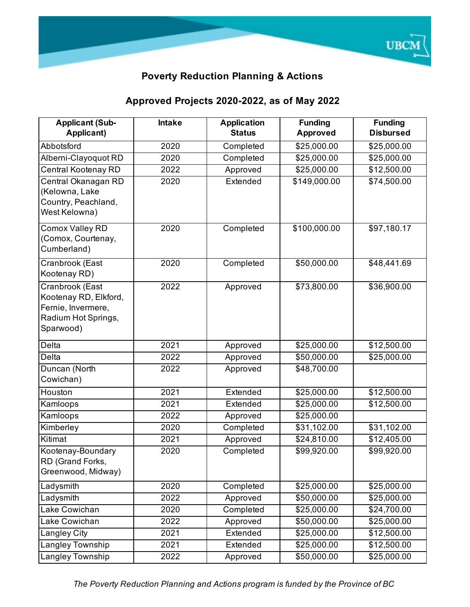

## **Poverty Reduction Planning & Actions**

## **Approved Projects 2020-2022, as of May 2022**

| <b>Applicant (Sub-</b><br>Applicant)                                                               | <b>Intake</b> | <b>Application</b><br><b>Status</b> | <b>Funding</b><br><b>Approved</b> | <b>Funding</b><br><b>Disbursed</b> |
|----------------------------------------------------------------------------------------------------|---------------|-------------------------------------|-----------------------------------|------------------------------------|
| Abbotsford                                                                                         | 2020          | Completed                           | \$25,000.00                       | \$25,000.00                        |
| Alberni-Clayoquot RD                                                                               | 2020          | Completed                           | \$25,000.00                       | \$25,000.00                        |
| Central Kootenay RD                                                                                | 2022          | Approved                            | \$25,000.00                       | \$12,500.00                        |
| Central Okanagan RD<br>(Kelowna, Lake<br>Country, Peachland,<br>West Kelowna)                      | 2020          | Extended                            | \$149,000.00                      | \$74,500.00                        |
| Comox Valley RD<br>(Comox, Courtenay,<br>Cumberland)                                               | 2020          | Completed                           | \$100,000.00                      | \$97,180.17                        |
| Cranbrook (East<br>Kootenay RD)                                                                    | 2020          | Completed                           | \$50,000.00                       | \$48,441.69                        |
| Cranbrook (East<br>Kootenay RD, Elkford,<br>Fernie, Invermere,<br>Radium Hot Springs,<br>Sparwood) | 2022          | Approved                            | \$73,800.00                       | \$36,900.00                        |
| <b>Delta</b>                                                                                       | 2021          | Approved                            | \$25,000.00                       | \$12,500.00                        |
| <b>Delta</b>                                                                                       | 2022          | Approved                            | \$50,000.00                       | $\sqrt{$25,000.00}$                |
| Duncan (North<br>Cowichan)                                                                         | 2022          | Approved                            | \$48,700.00                       |                                    |
| Houston                                                                                            | 2021          | Extended                            | \$25,000.00                       | \$12,500.00                        |
| Kamloops                                                                                           | 2021          | Extended                            | $\overline{$25,000.00}$           | $\overline{$12,500.00}$            |
| Kamloops                                                                                           | 2022          | Approved                            | \$25,000.00                       |                                    |
| Kimberley                                                                                          | 2020          | Completed                           | \$31,102.00                       | \$31,102.00                        |
| Kitimat                                                                                            | 2021          | Approved                            | \$24,810.00                       | \$12,405.00                        |
| Kootenay-Boundary<br>RD (Grand Forks,<br>Greenwood, Midway)                                        | 2020          | Completed                           | \$99,920.00                       | \$99,920.00                        |
| Ladysmith                                                                                          | 2020          | Completed                           | \$25,000.00                       | \$25,000.00                        |
| Ladysmith                                                                                          | 2022          | Approved                            | \$50,000.00                       | \$25,000.00                        |
| Lake Cowichan                                                                                      | 2020          | Completed                           | \$25,000.00                       | \$24,700.00                        |
| Lake Cowichan                                                                                      | 2022          | Approved                            | \$50,000.00                       | \$25,000.00                        |
| <b>Langley City</b>                                                                                | 2021          | Extended                            | \$25,000.00                       | \$12,500.00                        |
| Langley Township                                                                                   | 2021          | Extended                            | \$25,000.00                       | \$12,500.00                        |
| <b>Langley Township</b>                                                                            | 2022          | Approved                            | \$50,000.00                       | \$25,000.00                        |

*The Poverty Reduction Planning and Actions program is funded by the Province of BC*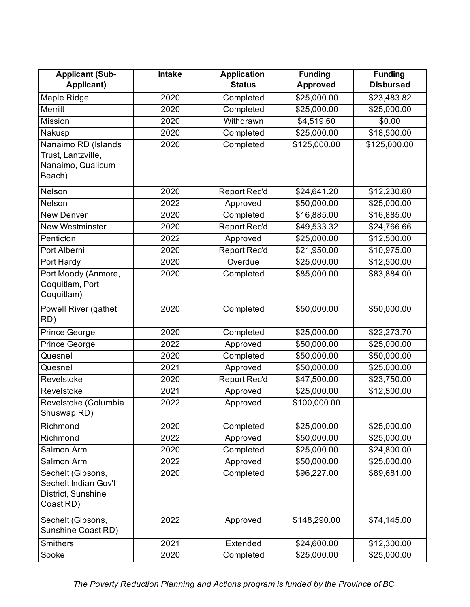| <b>Applicant (Sub-</b> | <b>Intake</b> | <b>Application</b>  | <b>Funding</b>  | <b>Funding</b>   |
|------------------------|---------------|---------------------|-----------------|------------------|
| <b>Applicant)</b>      |               | <b>Status</b>       | <b>Approved</b> | <b>Disbursed</b> |
| Maple Ridge            | 2020          | Completed           | \$25,000.00     | \$23,483.82      |
| Merritt                | 2020          | Completed           | \$25,000.00     | \$25,000.00      |
| Mission                | 2020          | Withdrawn           | \$4,519.60      | \$0.00           |
| Nakusp                 | 2020          | Completed           | \$25,000.00     | \$18,500.00      |
| Nanaimo RD (Islands    | 2020          | Completed           | \$125,000.00    | \$125,000.00     |
| Trust, Lantzville,     |               |                     |                 |                  |
| Nanaimo, Qualicum      |               |                     |                 |                  |
| Beach)                 |               |                     |                 |                  |
| Nelson                 | 2020          | Report Rec'd        | \$24,641.20     | \$12,230.60      |
| Nelson                 | 2022          | Approved            | \$50,000.00     | \$25,000.00      |
| <b>New Denver</b>      | 2020          | Completed           | \$16,885.00     | \$16,885.00      |
| New Westminster        | 2020          | Report Rec'd        | \$49,533.32     | \$24,766.66      |
| Penticton              | 2022          | Approved            | \$25,000.00     | \$12,500.00      |
| Port Alberni           | 2020          | <b>Report Rec'd</b> | \$21,950.00     | \$10,975.00      |
| Port Hardy             | 2020          | Overdue             | \$25,000.00     | \$12,500.00      |
| Port Moody (Anmore,    | 2020          | Completed           | \$85,000.00     | \$83,884.00      |
| Coquitlam, Port        |               |                     |                 |                  |
| Coquitlam)             |               |                     |                 |                  |
| Powell River (gathet   | 2020          | Completed           | \$50,000.00     | \$50,000.00      |
| RD)                    |               |                     |                 |                  |
| Prince George          | 2020          | Completed           | \$25,000.00     | \$22,273.70      |
| Prince George          | 2022          | Approved            | \$50,000.00     | \$25,000.00      |
| Quesnel                | 2020          | Completed           | \$50,000.00     | \$50,000.00      |
| Quesnel                | 2021          | Approved            | \$50,000.00     | \$25,000.00      |
| Revelstoke             | 2020          | Report Rec'd        | \$47,500.00     | \$23,750.00      |
| Revelstoke             | 2021          | Approved            | \$25,000.00     | \$12,500.00      |
| Revelstoke (Columbia   | 2022          | Approved            | \$100,000.00    |                  |
| Shuswap RD)            |               |                     |                 |                  |
| Richmond               | 2020          | Completed           | \$25,000.00     | \$25,000.00      |
| Richmond               | 2022          | Approved            | \$50,000.00     | \$25,000.00      |
| Salmon Arm             | 2020          | Completed           | \$25,000.00     | \$24,800.00      |
| Salmon Arm             | 2022          | Approved            | \$50,000.00     | \$25,000.00      |
| Sechelt (Gibsons,      | 2020          | Completed           | \$96,227.00     | \$89,681.00      |
| Sechelt Indian Gov't   |               |                     |                 |                  |
| District, Sunshine     |               |                     |                 |                  |
| Coast RD)              |               |                     |                 |                  |
| Sechelt (Gibsons,      | 2022          | Approved            | \$148,290.00    | \$74,145.00      |
| Sunshine Coast RD)     |               |                     |                 |                  |
| <b>Smithers</b>        | 2021          | Extended            | \$24,600.00     | \$12,300.00      |
| Sooke                  | 2020          | Completed           | \$25,000.00     | \$25,000.00      |